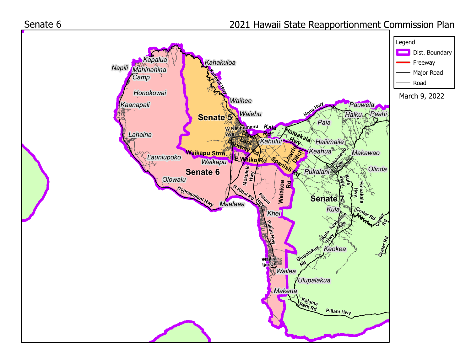

## 2021 Hawaii State Reapportionment Commission Plan